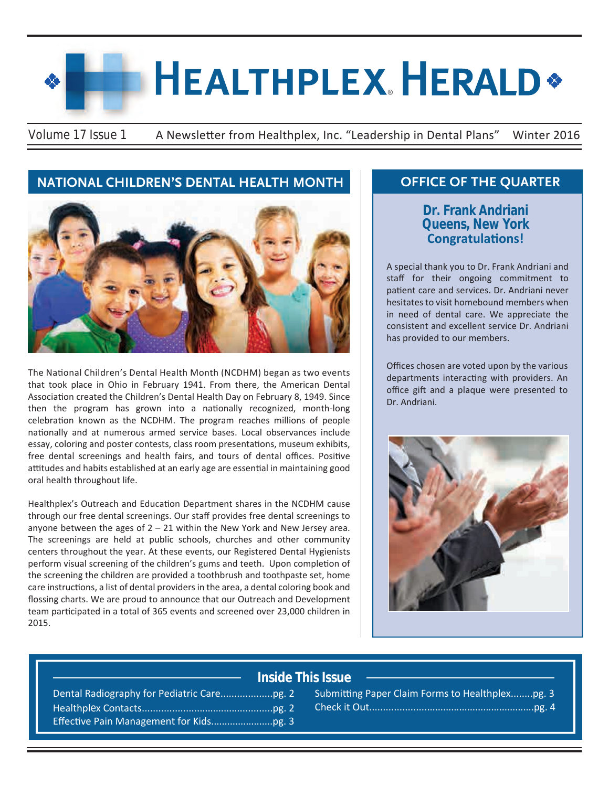# **HEALTHPLEX HERALD\***

Volume 17 Issue 1 A Newsletter from Healthplex, Inc. "Leadership in Dental Plans" Winter 2016

# **NATIONAL CHILDREN'S DENTAL HEALTH MONTH COFFICE OF THE QUARTER**



The National Children's Dental Health Month (NCDHM) began as two events that took place in Ohio in February 1941. From there, the American Dental Association created the Children's Dental Health Day on February 8, 1949. Since then the program has grown into a nationally recognized, month-long celebration known as the NCDHM. The program reaches millions of people nationally and at numerous armed service bases. Local observances include essay, coloring and poster contests, class room presentations, museum exhibits, free dental screenings and health fairs, and tours of dental offices. Positive attitudes and habits established at an early age are essential in maintaining good oral health throughout life.

Healthplex's Outreach and Education Department shares in the NCDHM cause through our free dental screenings. Our staff provides free dental screenings to anyone between the ages of  $2 - 21$  within the New York and New Jersey area. The screenings are held at public schools, churches and other community centers throughout the year. At these events, our Registered Dental Hygienists perform visual screening of the children's gums and teeth. Upon completion of the screening the children are provided a toothbrush and toothpaste set, home care instructions, a list of dental providers in the area, a dental coloring book and flossing charts. We are proud to announce that our Outreach and Development team participated in a total of 365 events and screened over 23,000 children in 2015.

# **Dr. Frank Andriani Queens, New York Congratulations!**

A special thank you to Dr. Frank Andriani and staff for their ongoing commitment to patient care and services. Dr. Andriani never hesitates to visit homebound members when in need of dental care. We appreciate the consistent and excellent service Dr. Andriani has provided to our members.

Offices chosen are voted upon by the various departments interacting with providers. An office gift and a plaque were presented to Dr. Andriani.



## **Inside This Issue**

Dental Radiography for Pediatric Care...................pg. 2 Healthplex Contacts................................................pg. 2 Effective Pain Management for Kids.......................pg. 3

| Submitting Paper Claim Forms to Healthplexpg. 3 |  |
|-------------------------------------------------|--|
|                                                 |  |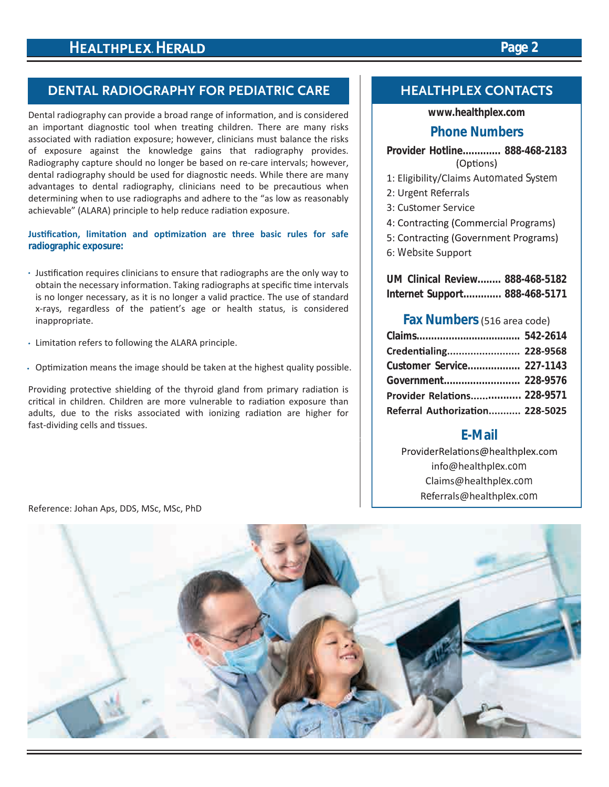# **HEALTHPLEX HERALD**

# **DENTAL RADIOGRAPHY FOR PEDIATRIC CARE**

Dental radiography can provide a broad range of information, and is considered an important diagnostic tool when treating children. There are many risks associated with radiation exposure; however, clinicians must balance the risks of exposure against the knowledge gains that radiography provides. Radiography capture should no longer be based on re-care intervals; however, dental radiography should be used for diagnostic needs. While there are many advantages to dental radiography, clinicians need to be precautious when determining when to use radiographs and adhere to the "as low as reasonably achievable" (ALARA) principle to help reduce radiation exposure.

#### **Justification, limitation and optimization are three basic rules for safe radiographic exposure:**

- Justification requires clinicians to ensure that radiographs are the only way to obtain the necessary information. Taking radiographs at specific time intervals is no longer necessary, as it is no longer a valid practice. The use of standard x-rays, regardless of the patient's age or health status, is considered inappropriate.
- Limitation refers to following the ALARA principle.
- Optimization means the image should be taken at the highest quality possible.

Providing protective shielding of the thyroid gland from primary radiation is critical in children. Children are more vulnerable to radiation exposure than adults, due to the risks associated with ionizing radiation are higher for fast-dividing cells and tissues.

#### **HEALTHPLEX CONTACTS**

#### **www.healthplex.com**

### **Phone Numbers**

- **Provider Hotline............. 888-468-2183** (Options)
- 1: Eligibility/Claims Automated System
- 2: Urgent Referrals
- 3: Customer Service
- 4: Contracting (Commercial Programs)
- 5: Contracting (Government Programs)
- 6: Website Support

**UM Clinical Review........ 888-468-5182 Internet Support............. 888-468-5171**

#### **Fax Numbers**(516 area code)

| Credentialing 228-9568          |  |
|---------------------------------|--|
| Customer Service 227-1143       |  |
|                                 |  |
| Provider Relations 228-9571     |  |
| Referral Authorization 228-5025 |  |

## **E-Mail**

ProviderRelations@healthplex.com info@healthplex.com Claims@healthplex.com Referrals@healthplex.com

Reference: Johan Aps, DDS, MSc, MSc, PhD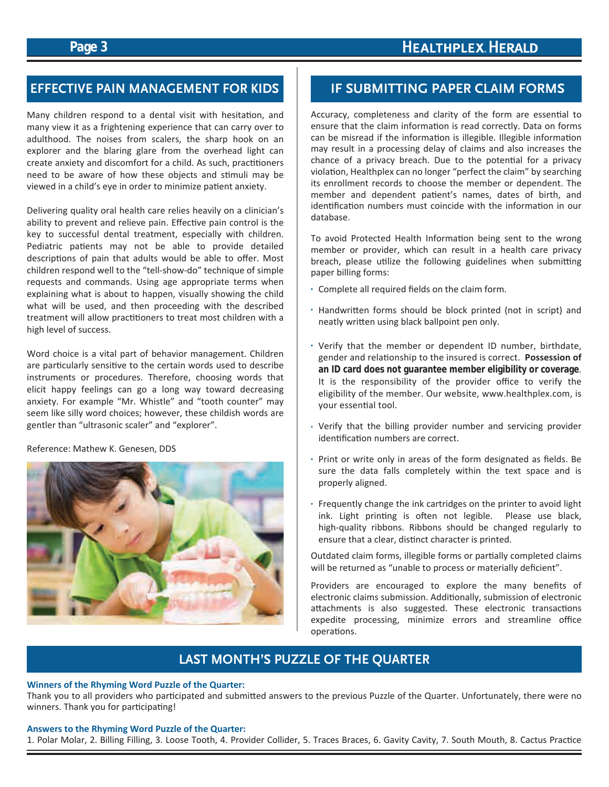## **Page 3**

# **HEALTHPLEX HERALD**

# **EFFECTIVE PAIN MANAGEMENT FOR KIDS IF SUBMITTING PAPER CLAIM FORMS**

Many children respond to a dental visit with hesitation, and many view it as a frightening experience that can carry over to adulthood. The noises from scalers, the sharp hook on an explorer and the blaring glare from the overhead light can create anxiety and discomfort for a child. As such, practitioners need to be aware of how these objects and stimuli may be viewed in a child's eye in order to minimize patient anxiety.

Delivering quality oral health care relies heavily on a clinician's ability to prevent and relieve pain. Effective pain control is the key to successful dental treatment, especially with children. Pediatric patients may not be able to provide detailed descriptions of pain that adults would be able to offer. Most children respond well to the "tell-show-do" technique of simple requests and commands. Using age appropriate terms when explaining what is about to happen, visually showing the child what will be used, and then proceeding with the described treatment will allow practitioners to treat most children with a high level of success.

Word choice is a vital part of behavior management. Children are particularly sensitive to the certain words used to describe instruments or procedures. Therefore, choosing words that elicit happy feelings can go a long way toward decreasing anxiety. For example "Mr. Whistle" and "tooth counter" may seem like silly word choices; however, these childish words are gentler than "ultrasonic scaler" and "explorer".

Reference: Mathew K. Genesen, DDS



Accuracy, completeness and clarity of the form are essential to ensure that the claim information is read correctly. Data on forms can be misread if the information is illegible. Illegible information may result in a processing delay of claims and also increases the chance of a privacy breach. Due to the potential for a privacy violation, Healthplex can no longer "perfect the claim" by searching its enrollment records to choose the member or dependent. The member and dependent patient's names, dates of birth, and identification numbers must coincide with the information in our database.

To avoid Protected Health Information being sent to the wrong member or provider, which can result in a health care privacy breach, please utilize the following guidelines when submitting paper billing forms:

- Complete all required fields on the claim form.
- Handwritten forms should be block printed (not in script) and neatly written using black ballpoint pen only.
- Verify that the member or dependent ID number, birthdate, gender and relationship to the insured is correct. **Possession of an ID card does not guarantee member eligibility or coverage**. It is the responsibility of the provider office to verify the eligibility of the member. Our website, www.healthplex.com, is your essential tool.
- Verify that the billing provider number and servicing provider identification numbers are correct.
- Print or write only in areas of the form designated as fields. Be sure the data falls completely within the text space and is properly aligned.
- Frequently change the ink cartridges on the printer to avoid light ink. Light printing is often not legible. Please use black, high-quality ribbons. Ribbons should be changed regularly to ensure that a clear, distinct character is printed.

Outdated claim forms, illegible forms or partially completed claims will be returned as "unable to process or materially deficient".

Providers are encouraged to explore the many benefits of electronic claims submission. Additionally, submission of electronic attachments is also suggested. These electronic transactions expedite processing, minimize errors and streamline office operations.

# **LAST MONTH'S PUZZLE OF THE QUARTER**

#### **Winners of the Rhyming Word Puzzle of the Quarter:**

Thank you to all providers who participated and submitted answers to the previous Puzzle of the Quarter. Unfortunately, there were no winners. Thank you for participating!

#### **Answers to the Rhyming Word Puzzle of the Quarter:**

1. Polar Molar, 2. Billing Filling, 3. Loose Tooth, 4. Provider Collider, 5. Traces Braces, 6. Gavity Cavity, 7. South Mouth, 8. Cactus Practice